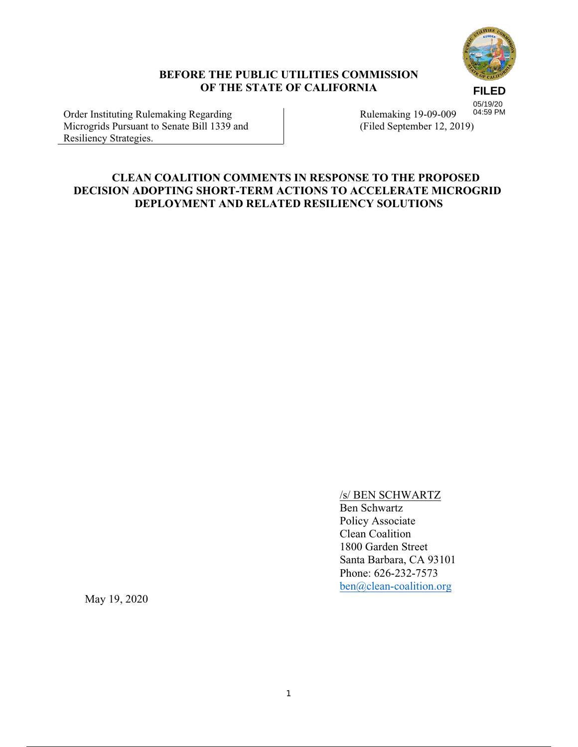

### **BEFORE THE PUBLIC UTILITIES COMMISSION OF THE STATE OF CALIFORNIA**

**FILED** 05/19/20 04:59 PM

Order Instituting Rulemaking Regarding Microgrids Pursuant to Senate Bill 1339 and Resiliency Strategies.

Rulemaking 19-09-009 (Filed September 12, 2019)

### **CLEAN COALITION COMMENTS IN RESPONSE TO THE PROPOSED DECISION ADOPTING SHORT-TERM ACTIONS TO ACCELERATE MICROGRID DEPLOYMENT AND RELATED RESILIENCY SOLUTIONS**

### /s/ BEN SCHWARTZ

Ben Schwartz Policy Associate Clean Coalition 1800 Garden Street Santa Barbara, CA 93101 Phone: 626-232-7573 ben@clean-coalition.org

May 19, 2020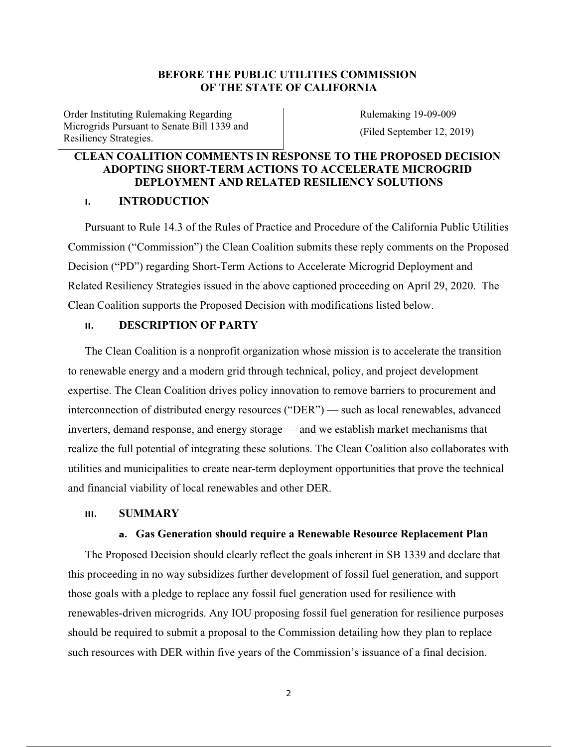### **BEFORE THE PUBLIC UTILITIES COMMISSION OF THE STATE OF CALIFORNIA**

Order Instituting Rulemaking Regarding Microgrids Pursuant to Senate Bill 1339 and Resiliency Strategies.

Rulemaking 19-09-009 (Filed September 12, 2019)

### **CLEAN COALITION COMMENTS IN RESPONSE TO THE PROPOSED DECISION ADOPTING SHORT-TERM ACTIONS TO ACCELERATE MICROGRID DEPLOYMENT AND RELATED RESILIENCY SOLUTIONS**

### **I. INTRODUCTION**

Pursuant to Rule 14.3 of the Rules of Practice and Procedure of the California Public Utilities Commission ("Commission") the Clean Coalition submits these reply comments on the Proposed Decision ("PD") regarding Short-Term Actions to Accelerate Microgrid Deployment and Related Resiliency Strategies issued in the above captioned proceeding on April 29, 2020. The Clean Coalition supports the Proposed Decision with modifications listed below.

#### **II. DESCRIPTION OF PARTY**

The Clean Coalition is a nonprofit organization whose mission is to accelerate the transition to renewable energy and a modern grid through technical, policy, and project development expertise. The Clean Coalition drives policy innovation to remove barriers to procurement and interconnection of distributed energy resources ("DER") — such as local renewables, advanced inverters, demand response, and energy storage — and we establish market mechanisms that realize the full potential of integrating these solutions. The Clean Coalition also collaborates with utilities and municipalities to create near-term deployment opportunities that prove the technical and financial viability of local renewables and other DER.

#### **III. SUMMARY**

#### **a. Gas Generation should require a Renewable Resource Replacement Plan**

The Proposed Decision should clearly reflect the goals inherent in SB 1339 and declare that this proceeding in no way subsidizes further development of fossil fuel generation, and support those goals with a pledge to replace any fossil fuel generation used for resilience with renewables-driven microgrids. Any IOU proposing fossil fuel generation for resilience purposes should be required to submit a proposal to the Commission detailing how they plan to replace such resources with DER within five years of the Commission's issuance of a final decision.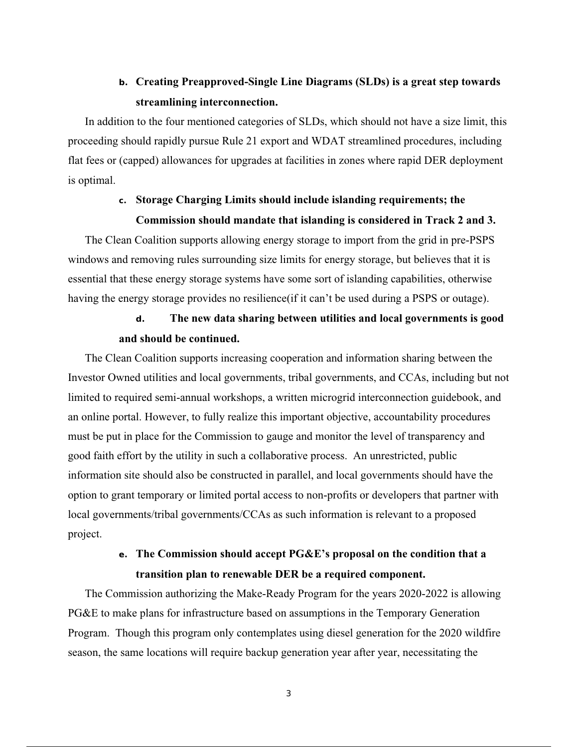# **b. Creating Preapproved-Single Line Diagrams (SLDs) is a great step towards streamlining interconnection.**

In addition to the four mentioned categories of SLDs, which should not have a size limit, this proceeding should rapidly pursue Rule 21 export and WDAT streamlined procedures, including flat fees or (capped) allowances for upgrades at facilities in zones where rapid DER deployment is optimal.

## **c. Storage Charging Limits should include islanding requirements; the Commission should mandate that islanding is considered in Track 2 and 3.**

The Clean Coalition supports allowing energy storage to import from the grid in pre-PSPS windows and removing rules surrounding size limits for energy storage, but believes that it is essential that these energy storage systems have some sort of islanding capabilities, otherwise having the energy storage provides no resilience (if it can't be used during a PSPS or outage).

## **d. The new data sharing between utilities and local governments is good and should be continued.**

The Clean Coalition supports increasing cooperation and information sharing between the Investor Owned utilities and local governments, tribal governments, and CCAs, including but not limited to required semi-annual workshops, a written microgrid interconnection guidebook, and an online portal. However, to fully realize this important objective, accountability procedures must be put in place for the Commission to gauge and monitor the level of transparency and good faith effort by the utility in such a collaborative process. An unrestricted, public information site should also be constructed in parallel, and local governments should have the option to grant temporary or limited portal access to non-profits or developers that partner with local governments/tribal governments/CCAs as such information is relevant to a proposed project.

## **e. The Commission should accept PG&E's proposal on the condition that a transition plan to renewable DER be a required component.**

The Commission authorizing the Make-Ready Program for the years 2020-2022 is allowing PG&E to make plans for infrastructure based on assumptions in the Temporary Generation Program. Though this program only contemplates using diesel generation for the 2020 wildfire season, the same locations will require backup generation year after year, necessitating the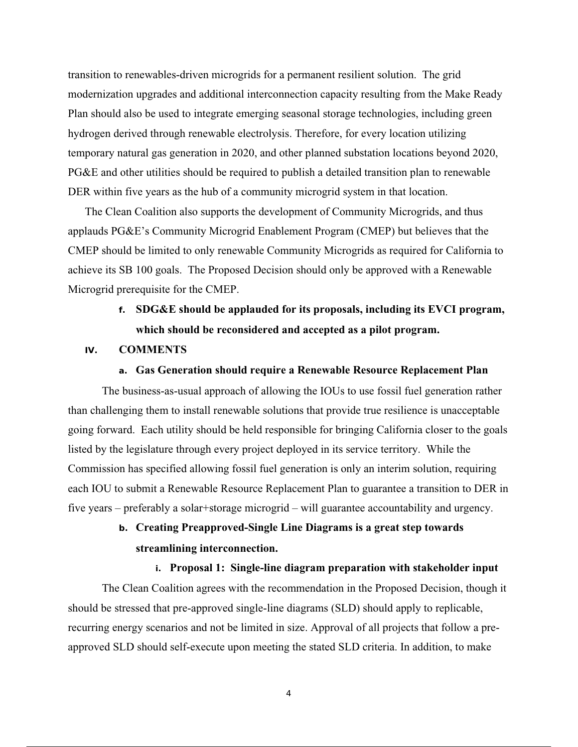transition to renewables-driven microgrids for a permanent resilient solution. The grid modernization upgrades and additional interconnection capacity resulting from the Make Ready Plan should also be used to integrate emerging seasonal storage technologies, including green hydrogen derived through renewable electrolysis. Therefore, for every location utilizing temporary natural gas generation in 2020, and other planned substation locations beyond 2020, PG&E and other utilities should be required to publish a detailed transition plan to renewable DER within five years as the hub of a community microgrid system in that location.

The Clean Coalition also supports the development of Community Microgrids, and thus applauds PG&E's Community Microgrid Enablement Program (CMEP) but believes that the CMEP should be limited to only renewable Community Microgrids as required for California to achieve its SB 100 goals. The Proposed Decision should only be approved with a Renewable Microgrid prerequisite for the CMEP.

# **f. SDG&E should be applauded for its proposals, including its EVCI program, which should be reconsidered and accepted as a pilot program.**

### **IV. COMMENTS**

#### **a. Gas Generation should require a Renewable Resource Replacement Plan**

The business-as-usual approach of allowing the IOUs to use fossil fuel generation rather than challenging them to install renewable solutions that provide true resilience is unacceptable going forward. Each utility should be held responsible for bringing California closer to the goals listed by the legislature through every project deployed in its service territory. While the Commission has specified allowing fossil fuel generation is only an interim solution, requiring each IOU to submit a Renewable Resource Replacement Plan to guarantee a transition to DER in five years – preferably a solar+storage microgrid – will guarantee accountability and urgency.

# **b. Creating Preapproved-Single Line Diagrams is a great step towards streamlining interconnection.**

#### **i. Proposal 1: Single-line diagram preparation with stakeholder input**

The Clean Coalition agrees with the recommendation in the Proposed Decision, though it should be stressed that pre-approved single-line diagrams (SLD) should apply to replicable, recurring energy scenarios and not be limited in size. Approval of all projects that follow a preapproved SLD should self-execute upon meeting the stated SLD criteria. In addition, to make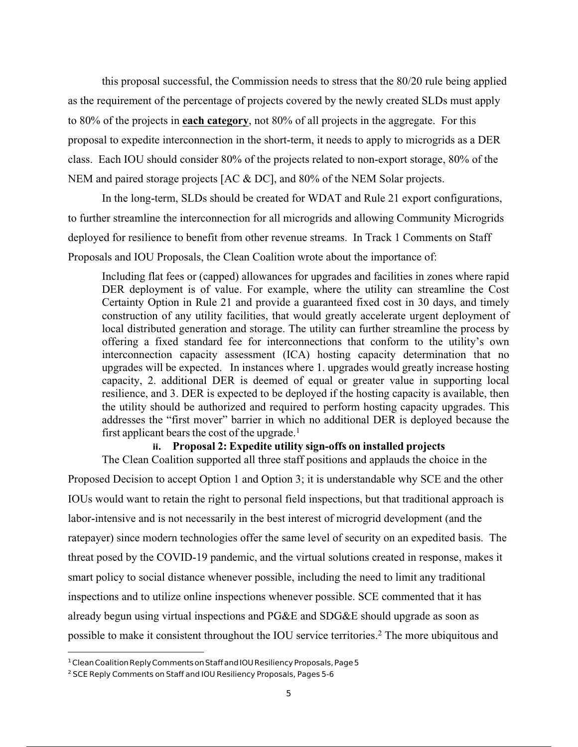this proposal successful, the Commission needs to stress that the 80/20 rule being applied as the requirement of the percentage of projects covered by the newly created SLDs must apply to 80% of the projects in **each category**, not 80% of all projects in the aggregate. For this proposal to expedite interconnection in the short-term, it needs to apply to microgrids as a DER class. Each IOU should consider 80% of the projects related to non-export storage, 80% of the NEM and paired storage projects [AC & DC], and 80% of the NEM Solar projects.

In the long-term, SLDs should be created for WDAT and Rule 21 export configurations, to further streamline the interconnection for all microgrids and allowing Community Microgrids deployed for resilience to benefit from other revenue streams. In Track 1 Comments on Staff Proposals and IOU Proposals, the Clean Coalition wrote about the importance of:

Including flat fees or (capped) allowances for upgrades and facilities in zones where rapid DER deployment is of value. For example, where the utility can streamline the Cost Certainty Option in Rule 21 and provide a guaranteed fixed cost in 30 days, and timely construction of any utility facilities, that would greatly accelerate urgent deployment of local distributed generation and storage. The utility can further streamline the process by offering a fixed standard fee for interconnections that conform to the utility's own interconnection capacity assessment (ICA) hosting capacity determination that no upgrades will be expected. In instances where 1. upgrades would greatly increase hosting capacity, 2. additional DER is deemed of equal or greater value in supporting local resilience, and 3. DER is expected to be deployed if the hosting capacity is available, then the utility should be authorized and required to perform hosting capacity upgrades. This addresses the "first mover" barrier in which no additional DER is deployed because the first applicant bears the cost of the upgrade.<sup>1</sup>

#### **ii. Proposal 2: Expedite utility sign-offs on installed projects**

The Clean Coalition supported all three staff positions and applauds the choice in the Proposed Decision to accept Option 1 and Option 3; it is understandable why SCE and the other IOUs would want to retain the right to personal field inspections, but that traditional approach is labor-intensive and is not necessarily in the best interest of microgrid development (and the ratepayer) since modern technologies offer the same level of security on an expedited basis. The threat posed by the COVID-19 pandemic, and the virtual solutions created in response, makes it smart policy to social distance whenever possible, including the need to limit any traditional inspections and to utilize online inspections whenever possible. SCE commented that it has already begun using virtual inspections and PG&E and SDG&E should upgrade as soon as possible to make it consistent throughout the IOU service territories.2 The more ubiquitous and

<sup>&</sup>lt;sup>1</sup> Clean Coalition Reply Comments on Staff and IOU Resiliency Proposals, Page 5

<sup>&</sup>lt;sup>2</sup> SCE Reply Comments on Staff and IOU Resiliency Proposals, Pages 5-6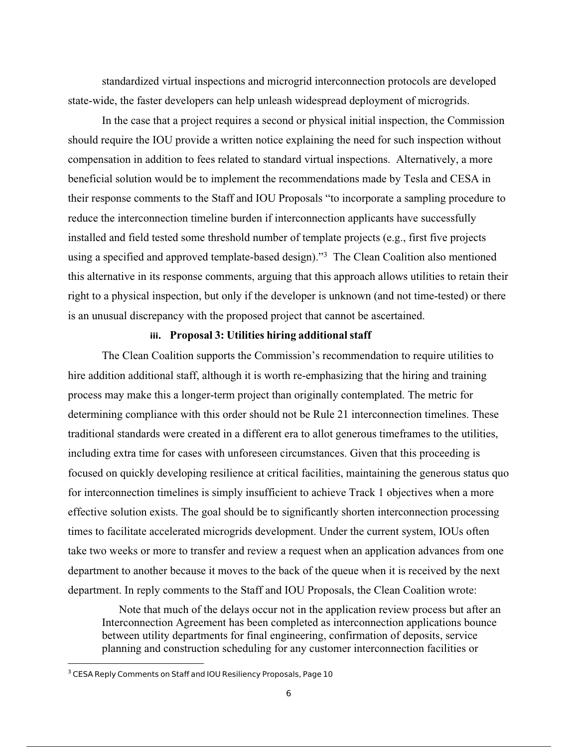standardized virtual inspections and microgrid interconnection protocols are developed state-wide, the faster developers can help unleash widespread deployment of microgrids.

In the case that a project requires a second or physical initial inspection, the Commission should require the IOU provide a written notice explaining the need for such inspection without compensation in addition to fees related to standard virtual inspections. Alternatively, a more beneficial solution would be to implement the recommendations made by Tesla and CESA in their response comments to the Staff and IOU Proposals "to incorporate a sampling procedure to reduce the interconnection timeline burden if interconnection applicants have successfully installed and field tested some threshold number of template projects (e.g., first five projects using a specified and approved template-based design)."3 The Clean Coalition also mentioned this alternative in its response comments, arguing that this approach allows utilities to retain their right to a physical inspection, but only if the developer is unknown (and not time-tested) or there is an unusual discrepancy with the proposed project that cannot be ascertained.

#### **iii. Proposal 3: Utilities hiring additional staff**

The Clean Coalition supports the Commission's recommendation to require utilities to hire addition additional staff, although it is worth re-emphasizing that the hiring and training process may make this a longer-term project than originally contemplated. The metric for determining compliance with this order should not be Rule 21 interconnection timelines. These traditional standards were created in a different era to allot generous timeframes to the utilities, including extra time for cases with unforeseen circumstances. Given that this proceeding is focused on quickly developing resilience at critical facilities, maintaining the generous status quo for interconnection timelines is simply insufficient to achieve Track 1 objectives when a more effective solution exists. The goal should be to significantly shorten interconnection processing times to facilitate accelerated microgrids development. Under the current system, IOUs often take two weeks or more to transfer and review a request when an application advances from one department to another because it moves to the back of the queue when it is received by the next department. In reply comments to the Staff and IOU Proposals, the Clean Coalition wrote:

Note that much of the delays occur not in the application review process but after an Interconnection Agreement has been completed as interconnection applications bounce between utility departments for final engineering, confirmation of deposits, service planning and construction scheduling for any customer interconnection facilities or

<sup>&</sup>lt;sup>3</sup> CESA Reply Comments on Staff and IOU Resiliency Proposals, Page 10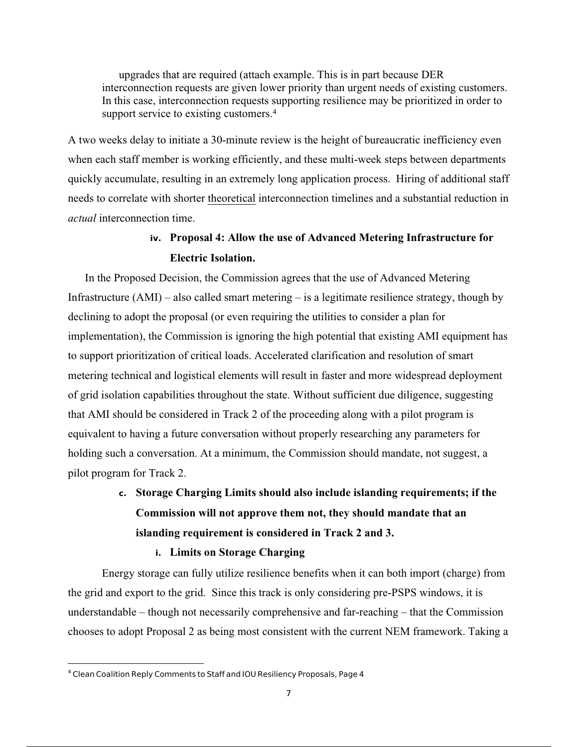upgrades that are required (attach example. This is in part because DER interconnection requests are given lower priority than urgent needs of existing customers. In this case, interconnection requests supporting resilience may be prioritized in order to support service to existing customers.<sup>4</sup>

A two weeks delay to initiate a 30-minute review is the height of bureaucratic inefficiency even when each staff member is working efficiently, and these multi-week steps between departments quickly accumulate, resulting in an extremely long application process. Hiring of additional staff needs to correlate with shorter theoretical interconnection timelines and a substantial reduction in *actual* interconnection time.

## **iv. Proposal 4: Allow the use of Advanced Metering Infrastructure for Electric Isolation.**

In the Proposed Decision, the Commission agrees that the use of Advanced Metering Infrastructure  $(AMI)$  – also called smart metering – is a legitimate resilience strategy, though by declining to adopt the proposal (or even requiring the utilities to consider a plan for implementation), the Commission is ignoring the high potential that existing AMI equipment has to support prioritization of critical loads. Accelerated clarification and resolution of smart metering technical and logistical elements will result in faster and more widespread deployment of grid isolation capabilities throughout the state. Without sufficient due diligence, suggesting that AMI should be considered in Track 2 of the proceeding along with a pilot program is equivalent to having a future conversation without properly researching any parameters for holding such a conversation. At a minimum, the Commission should mandate, not suggest, a pilot program for Track 2.

# **c. Storage Charging Limits should also include islanding requirements; if the Commission will not approve them not, they should mandate that an islanding requirement is considered in Track 2 and 3.**

#### **i. Limits on Storage Charging**

Energy storage can fully utilize resilience benefits when it can both import (charge) from the grid and export to the grid. Since this track is only considering pre-PSPS windows, it is understandable – though not necessarily comprehensive and far-reaching – that the Commission chooses to adopt Proposal 2 as being most consistent with the current NEM framework. Taking a

<sup>&</sup>lt;sup>4</sup> Clean Coalition Reply Comments to Staff and IOU Resiliency Proposals, Page 4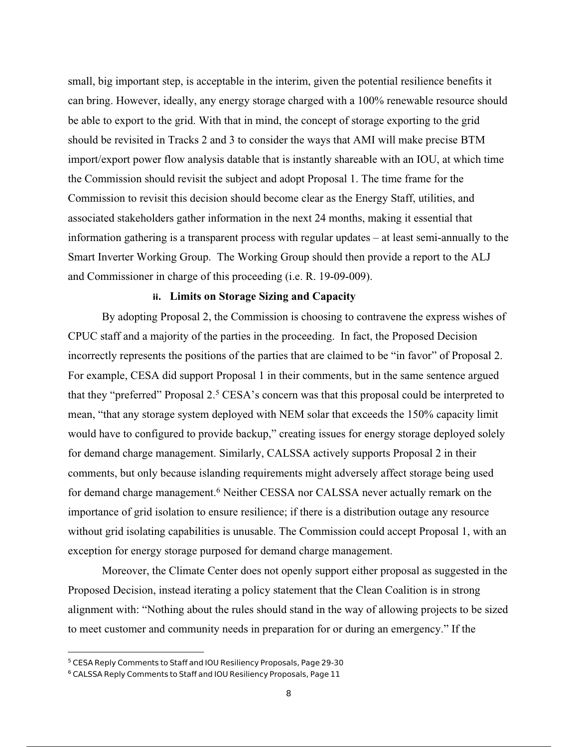small, big important step, is acceptable in the interim, given the potential resilience benefits it can bring. However, ideally, any energy storage charged with a 100% renewable resource should be able to export to the grid. With that in mind, the concept of storage exporting to the grid should be revisited in Tracks 2 and 3 to consider the ways that AMI will make precise BTM import/export power flow analysis datable that is instantly shareable with an IOU, at which time the Commission should revisit the subject and adopt Proposal 1. The time frame for the Commission to revisit this decision should become clear as the Energy Staff, utilities, and associated stakeholders gather information in the next 24 months, making it essential that information gathering is a transparent process with regular updates – at least semi-annually to the Smart Inverter Working Group. The Working Group should then provide a report to the ALJ and Commissioner in charge of this proceeding (i.e. R. 19-09-009).

#### **ii. Limits on Storage Sizing and Capacity**

By adopting Proposal 2, the Commission is choosing to contravene the express wishes of CPUC staff and a majority of the parties in the proceeding. In fact, the Proposed Decision incorrectly represents the positions of the parties that are claimed to be "in favor" of Proposal 2. For example, CESA did support Proposal 1 in their comments, but in the same sentence argued that they "preferred" Proposal 2.<sup>5</sup> CESA's concern was that this proposal could be interpreted to mean, "that any storage system deployed with NEM solar that exceeds the 150% capacity limit would have to configured to provide backup," creating issues for energy storage deployed solely for demand charge management. Similarly, CALSSA actively supports Proposal 2 in their comments, but only because islanding requirements might adversely affect storage being used for demand charge management.<sup>6</sup> Neither CESSA nor CALSSA never actually remark on the importance of grid isolation to ensure resilience; if there is a distribution outage any resource without grid isolating capabilities is unusable. The Commission could accept Proposal 1, with an exception for energy storage purposed for demand charge management.

Moreover, the Climate Center does not openly support either proposal as suggested in the Proposed Decision, instead iterating a policy statement that the Clean Coalition is in strong alignment with: "Nothing about the rules should stand in the way of allowing projects to be sized to meet customer and community needs in preparation for or during an emergency." If the

<sup>&</sup>lt;sup>5</sup> CESA Reply Comments to Staff and IOU Resiliency Proposals, Page 29-30

<sup>6</sup> CALSSA Reply Comments to Staff and IOU Resiliency Proposals, Page 11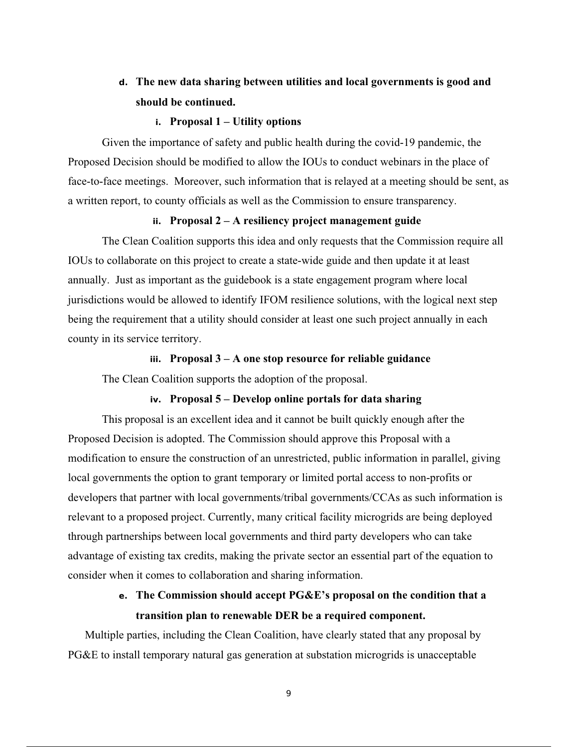# **d. The new data sharing between utilities and local governments is good and should be continued.**

#### **i. Proposal 1 – Utility options**

Given the importance of safety and public health during the covid-19 pandemic, the Proposed Decision should be modified to allow the IOUs to conduct webinars in the place of face-to-face meetings. Moreover, such information that is relayed at a meeting should be sent, as a written report, to county officials as well as the Commission to ensure transparency.

#### **ii. Proposal 2 – A resiliency project management guide**

The Clean Coalition supports this idea and only requests that the Commission require all IOUs to collaborate on this project to create a state-wide guide and then update it at least annually. Just as important as the guidebook is a state engagement program where local jurisdictions would be allowed to identify IFOM resilience solutions, with the logical next step being the requirement that a utility should consider at least one such project annually in each county in its service territory.

#### **iii. Proposal 3 – A one stop resource for reliable guidance**

The Clean Coalition supports the adoption of the proposal.

#### **iv. Proposal 5 – Develop online portals for data sharing**

This proposal is an excellent idea and it cannot be built quickly enough after the Proposed Decision is adopted. The Commission should approve this Proposal with a modification to ensure the construction of an unrestricted, public information in parallel, giving local governments the option to grant temporary or limited portal access to non-profits or developers that partner with local governments/tribal governments/CCAs as such information is relevant to a proposed project. Currently, many critical facility microgrids are being deployed through partnerships between local governments and third party developers who can take advantage of existing tax credits, making the private sector an essential part of the equation to consider when it comes to collaboration and sharing information.

## **e. The Commission should accept PG&E's proposal on the condition that a transition plan to renewable DER be a required component.**

Multiple parties, including the Clean Coalition, have clearly stated that any proposal by PG&E to install temporary natural gas generation at substation microgrids is unacceptable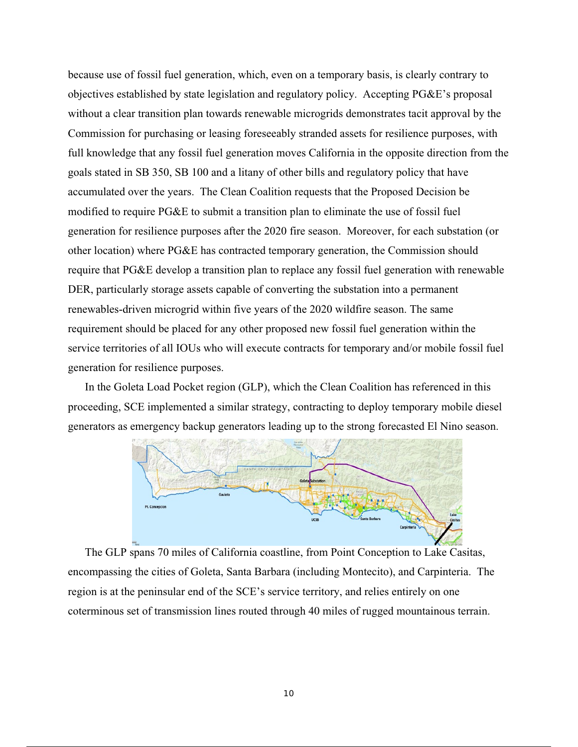because use of fossil fuel generation, which, even on a temporary basis, is clearly contrary to objectives established by state legislation and regulatory policy. Accepting PG&E's proposal without a clear transition plan towards renewable microgrids demonstrates tacit approval by the Commission for purchasing or leasing foreseeably stranded assets for resilience purposes, with full knowledge that any fossil fuel generation moves California in the opposite direction from the goals stated in SB 350, SB 100 and a litany of other bills and regulatory policy that have accumulated over the years. The Clean Coalition requests that the Proposed Decision be modified to require PG&E to submit a transition plan to eliminate the use of fossil fuel generation for resilience purposes after the 2020 fire season. Moreover, for each substation (or other location) where PG&E has contracted temporary generation, the Commission should require that PG&E develop a transition plan to replace any fossil fuel generation with renewable DER, particularly storage assets capable of converting the substation into a permanent renewables-driven microgrid within five years of the 2020 wildfire season. The same requirement should be placed for any other proposed new fossil fuel generation within the service territories of all IOUs who will execute contracts for temporary and/or mobile fossil fuel generation for resilience purposes.

In the Goleta Load Pocket region (GLP), which the Clean Coalition has referenced in this proceeding, SCE implemented a similar strategy, contracting to deploy temporary mobile diesel generators as emergency backup generators leading up to the strong forecasted El Nino season.



The GLP spans 70 miles of California coastline, from Point Conception to Lake Casitas, encompassing the cities of Goleta, Santa Barbara (including Montecito), and Carpinteria. The region is at the peninsular end of the SCE's service territory, and relies entirely on one coterminous set of transmission lines routed through 40 miles of rugged mountainous terrain.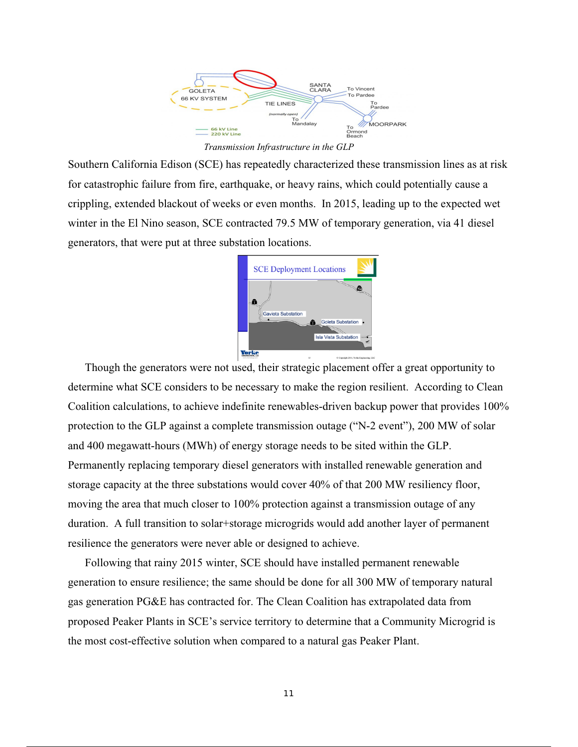

*Transmission Infrastructure in the GLP*

Southern California Edison (SCE) has repeatedly characterized these transmission lines as at risk for catastrophic failure from fire, earthquake, or heavy rains, which could potentially cause a crippling, extended blackout of weeks or even months. In 2015, leading up to the expected wet winter in the El Nino season, SCE contracted 79.5 MW of temporary generation, via 41 diesel generators, that were put at three substation locations.



Though the generators were not used, their strategic placement offer a great opportunity to determine what SCE considers to be necessary to make the region resilient. According to Clean Coalition calculations, to achieve indefinite renewables-driven backup power that provides 100% protection to the GLP against a complete transmission outage ("N-2 event"), 200 MW of solar and 400 megawatt-hours (MWh) of energy storage needs to be sited within the GLP. Permanently replacing temporary diesel generators with installed renewable generation and storage capacity at the three substations would cover 40% of that 200 MW resiliency floor, moving the area that much closer to 100% protection against a transmission outage of any duration. A full transition to solar+storage microgrids would add another layer of permanent resilience the generators were never able or designed to achieve.

Following that rainy 2015 winter, SCE should have installed permanent renewable generation to ensure resilience; the same should be done for all 300 MW of temporary natural gas generation PG&E has contracted for. The Clean Coalition has extrapolated data from proposed Peaker Plants in SCE's service territory to determine that a Community Microgrid is the most cost-effective solution when compared to a natural gas Peaker Plant.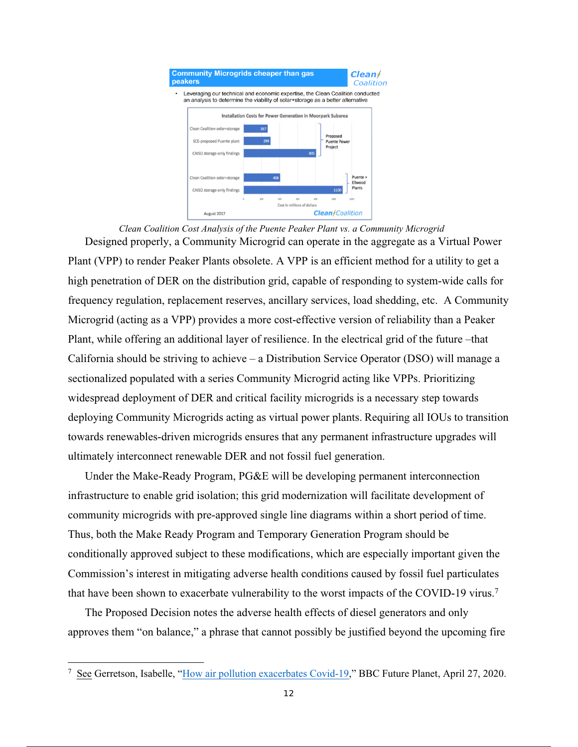

*Clean Coalition Cost Analysis of the Puente Peaker Plant vs. a Community Microgrid* Designed properly, a Community Microgrid can operate in the aggregate as a Virtual Power Plant (VPP) to render Peaker Plants obsolete. A VPP is an efficient method for a utility to get a high penetration of DER on the distribution grid, capable of responding to system-wide calls for frequency regulation, replacement reserves, ancillary services, load shedding, etc. A Community Microgrid (acting as a VPP) provides a more cost-effective version of reliability than a Peaker Plant, while offering an additional layer of resilience. In the electrical grid of the future –that California should be striving to achieve – a Distribution Service Operator (DSO) will manage a sectionalized populated with a series Community Microgrid acting like VPPs. Prioritizing widespread deployment of DER and critical facility microgrids is a necessary step towards deploying Community Microgrids acting as virtual power plants. Requiring all IOUs to transition towards renewables-driven microgrids ensures that any permanent infrastructure upgrades will ultimately interconnect renewable DER and not fossil fuel generation.

Under the Make-Ready Program, PG&E will be developing permanent interconnection infrastructure to enable grid isolation; this grid modernization will facilitate development of community microgrids with pre-approved single line diagrams within a short period of time. Thus, both the Make Ready Program and Temporary Generation Program should be conditionally approved subject to these modifications, which are especially important given the Commission's interest in mitigating adverse health conditions caused by fossil fuel particulates that have been shown to exacerbate vulnerability to the worst impacts of the COVID-19 virus.7

The Proposed Decision notes the adverse health effects of diesel generators and only approves them "on balance," a phrase that cannot possibly be justified beyond the upcoming fire

<sup>&</sup>lt;sup>7</sup> See Gerretson, Isabelle, "How air pollution exacerbates Covid-19," BBC Future Planet, April 27, 2020.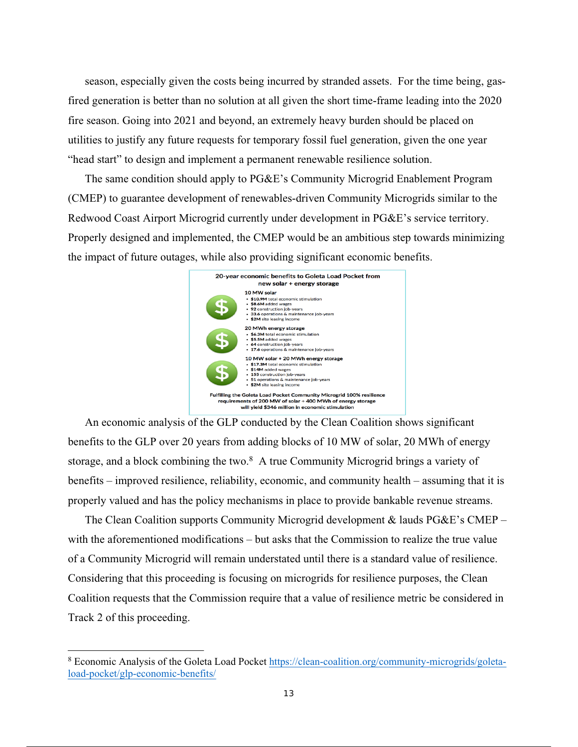season, especially given the costs being incurred by stranded assets. For the time being, gasfired generation is better than no solution at all given the short time-frame leading into the 2020 fire season. Going into 2021 and beyond, an extremely heavy burden should be placed on utilities to justify any future requests for temporary fossil fuel generation, given the one year "head start" to design and implement a permanent renewable resilience solution.

The same condition should apply to PG&E's Community Microgrid Enablement Program (CMEP) to guarantee development of renewables-driven Community Microgrids similar to the Redwood Coast Airport Microgrid currently under development in PG&E's service territory. Properly designed and implemented, the CMEP would be an ambitious step towards minimizing the impact of future outages, while also providing significant economic benefits.



An economic analysis of the GLP conducted by the Clean Coalition shows significant benefits to the GLP over 20 years from adding blocks of 10 MW of solar, 20 MWh of energy storage, and a block combining the two.<sup>8</sup> A true Community Microgrid brings a variety of benefits – improved resilience, reliability, economic, and community health – assuming that it is properly valued and has the policy mechanisms in place to provide bankable revenue streams.

The Clean Coalition supports Community Microgrid development & lauds PG&E's CMEP – with the aforementioned modifications – but asks that the Commission to realize the true value of a Community Microgrid will remain understated until there is a standard value of resilience. Considering that this proceeding is focusing on microgrids for resilience purposes, the Clean Coalition requests that the Commission require that a value of resilience metric be considered in Track 2 of this proceeding.

<sup>&</sup>lt;sup>8</sup> Economic Analysis of the Goleta Load Pocket https://clean-coalition.org/community-microgrids/goletaload-pocket/glp-economic-benefits/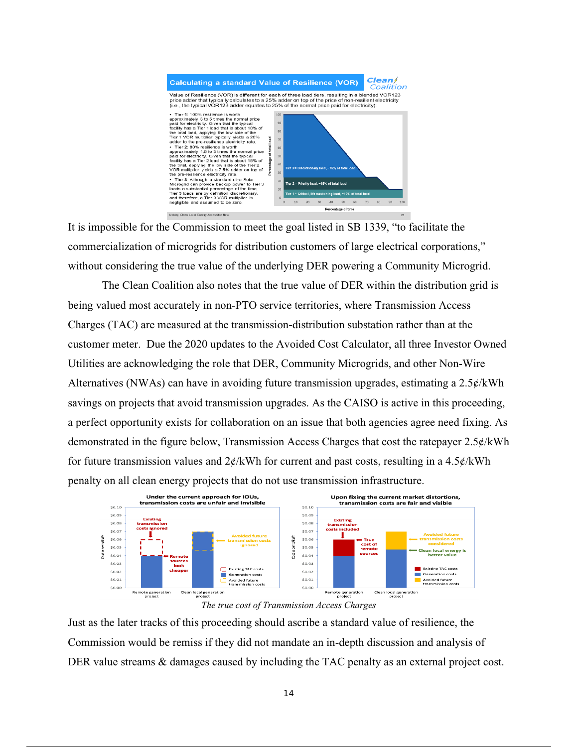

It is impossible for the Commission to meet the goal listed in SB 1339, "to facilitate the commercialization of microgrids for distribution customers of large electrical corporations," without considering the true value of the underlying DER powering a Community Microgrid.

The Clean Coalition also notes that the true value of DER within the distribution grid is being valued most accurately in non-PTO service territories, where Transmission Access Charges (TAC) are measured at the transmission-distribution substation rather than at the customer meter. Due the 2020 updates to the Avoided Cost Calculator, all three Investor Owned Utilities are acknowledging the role that DER, Community Microgrids, and other Non-Wire Alternatives (NWAs) can have in avoiding future transmission upgrades, estimating a 2.5¢/kWh savings on projects that avoid transmission upgrades. As the CAISO is active in this proceeding, a perfect opportunity exists for collaboration on an issue that both agencies agree need fixing. As demonstrated in the figure below, Transmission Access Charges that cost the ratepayer 2.5¢/kWh for future transmission values and  $2\phi$ /kWh for current and past costs, resulting in a 4.5 $\phi$ /kWh penalty on all clean energy projects that do not use transmission infrastructure.



*The true cost of Transmission Access Charges*

Just as the later tracks of this proceeding should ascribe a standard value of resilience, the Commission would be remiss if they did not mandate an in-depth discussion and analysis of DER value streams  $\&$  damages caused by including the TAC penalty as an external project cost.